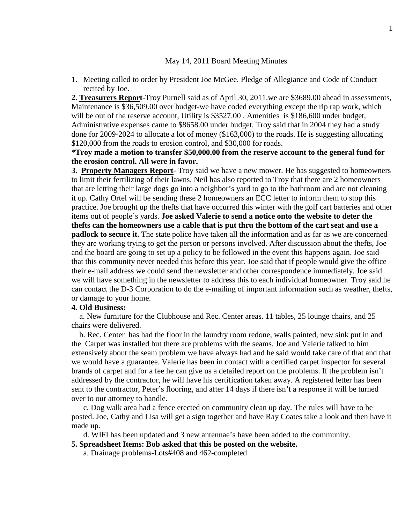### May 14, 2011 Board Meeting Minutes

1. Meeting called to order by President Joe McGee. Pledge of Allegiance and Code of Conduct recited by Joe.

**2. Treasurers Report**-Troy Purnell said as of April 30, 2011.we are \$3689.00 ahead in assessments, Maintenance is \$36,509.00 over budget-we have coded everything except the rip rap work, which will be out of the reserve account, Utility is \$3527.00, Amenities is \$186,600 under budget, Administrative expenses came to \$8658.00 under budget. Troy said that in 2004 they had a study done for 2009-2024 to allocate a lot of money (\$163,000) to the roads. He is suggesting allocating \$120,000 from the roads to erosion control, and \$30,000 for roads.

# \***Troy made a motion to transfer \$50,000.00 from the reserve account to the general fund for the erosion control. All were in favor.**

**3. Property Managers Report**- Troy said we have a new mower. He has suggested to homeowners to limit their fertilizing of their lawns. Neil has also reported to Troy that there are 2 homeowners that are letting their large dogs go into a neighbor's yard to go to the bathroom and are not cleaning it up. Cathy Ortel will be sending these 2 homeowners an ECC letter to inform them to stop this practice. Joe brought up the thefts that have occurred this winter with the golf cart batteries and other items out of people's yards. **Joe asked Valerie to send a notice onto the website to deter the thefts can the homeowners use a cable that is put thru the bottom of the cart seat and use a padlock to secure it.** The state police have taken all the information and as far as we are concerned they are working trying to get the person or persons involved. After discussion about the thefts, Joe and the board are going to set up a policy to be followed in the event this happens again. Joe said that this community never needed this before this year. Joe said that if people would give the office their e-mail address we could send the newsletter and other correspondence immediately. Joe said we will have something in the newsletter to address this to each individual homeowner. Troy said he can contact the D-3 Corporation to do the e-mailing of important information such as weather, thefts, or damage to your home.

## **4. Old Business:**

a. New furniture for the Clubhouse and Rec. Center areas. 11 tables, 25 lounge chairs, and 25 chairs were delivered.

b. Rec. Center has had the floor in the laundry room redone, walls painted, new sink put in and the Carpet was installed but there are problems with the seams. Joe and Valerie talked to him extensively about the seam problem we have always had and he said would take care of that and that we would have a guarantee. Valerie has been in contact with a certified carpet inspector for several brands of carpet and for a fee he can give us a detailed report on the problems. If the problem isn't addressed by the contractor, he will have his certification taken away. A registered letter has been sent to the contractor, Peter's flooring, and after 14 days if there isn't a response it will be turned over to our attorney to handle.

c. Dog walk area had a fence erected on community clean up day. The rules will have to be posted. Joe, Cathy and Lisa will get a sign together and have Ray Coates take a look and then have it made up.

d. WIFI has been updated and 3 new antennae's have been added to the community.

- **5. Spreadsheet Items: Bob asked that this be posted on the website.**
	- a. Drainage problems-Lots#408 and 462-completed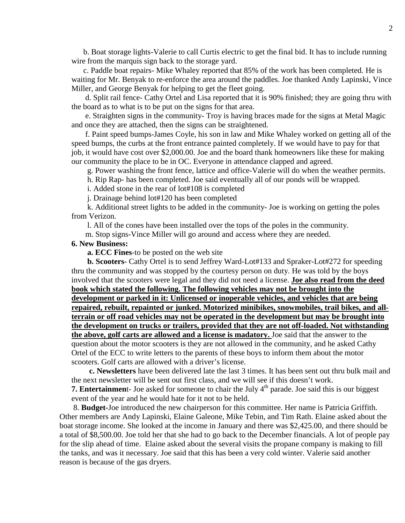b. Boat storage lights-Valerie to call Curtis electric to get the final bid. It has to include running wire from the marquis sign back to the storage yard.

c. Paddle boat repairs- Mike Whaley reported that 85% of the work has been completed. He is waiting for Mr. Benyak to re-enforce the area around the paddles. Joe thanked Andy Lapinski, Vince Miller, and George Benyak for helping to get the fleet going.

d. Split rail fence- Cathy Ortel and Lisa reported that it is 90% finished; they are going thru with the board as to what is to be put on the signs for that area.

e. Straighten signs in the community- Troy is having braces made for the signs at Metal Magic and once they are attached, then the signs can be straightened.

f. Paint speed bumps-James Coyle, his son in law and Mike Whaley worked on getting all of the speed bumps, the curbs at the front entrance painted completely. If we would have to pay for that job, it would have cost over \$2,000.00. Joe and the board thank homeowners like these for making our community the place to be in OC. Everyone in attendance clapped and agreed.

g. Power washing the front fence, lattice and office-Valerie will do when the weather permits.

h. Rip Rap- has been completed. Joe said eventually all of our ponds will be wrapped.

i. Added stone in the rear of lot#108 is completed

j. Drainage behind lot#120 has been completed

k. Additional street lights to be added in the community- Joe is working on getting the poles from Verizon.

l. All of the cones have been installed over the tops of the poles in the community.

m. Stop signs-Vince Miller will go around and access where they are needed.

# **6. New Business:**

**a. ECC Fines**-to be posted on the web site

**b. Scooters-** Cathy Ortel is to send Jeffrey Ward-Lot#133 and Spraker-Lot#272 for speeding thru the community and was stopped by the courtesy person on duty. He was told by the boys involved that the scooters were legal and they did not need a license. **Joe also read from the deed book which stated the following. The following vehicles may not be brought into the development or parked in it: Unlicensed or inoperable vehicles, and vehicles that are being repaired, rebuilt, repainted or junked. Motorized minibikes, snowmobiles, trail bikes, and allterrain or off road vehicles may not be operated in the development but may be brought into the development on trucks or trailers, provided that they are not off-loaded. Not withstanding the above, golf carts are allowed and a license is madatory.** Joe said that the answer to the question about the motor scooters is they are not allowed in the community, and he asked Cathy Ortel of the ECC to write letters to the parents of these boys to inform them about the motor scooters. Golf carts are allowed with a driver's license.

**c. Newsletters** have been delivered late the last 3 times. It has been sent out thru bulk mail and the next newsletter will be sent out first class, and we will see if this doesn't work.

**7. Entertainment-** Joe asked for someone to chair the July 4<sup>th</sup> parade. Joe said this is our biggest event of the year and he would hate for it not to be held.

8. **Budget-**Joe introduced the new chairperson for this committee. Her name is Patricia Griffith. Other members are Andy Lapinski, Elaine Galeone, Mike Tebin, and Tim Rath. Elaine asked about the boat storage income. She looked at the income in January and there was \$2,425.00, and there should be a total of \$8,500.00. Joe told her that she had to go back to the December financials. A lot of people pay for the slip ahead of time. Elaine asked about the several visits the propane company is making to fill the tanks, and was it necessary. Joe said that this has been a very cold winter. Valerie said another reason is because of the gas dryers.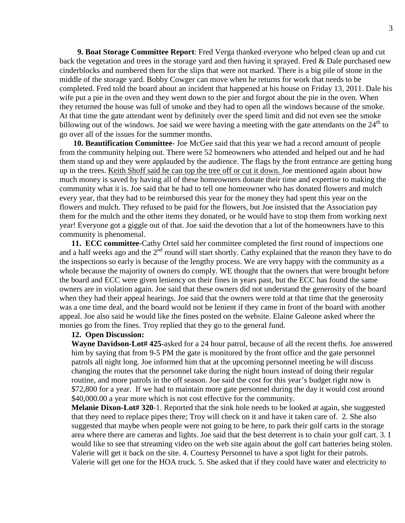**9. Boat Storage Committee Report**: Fred Verga thanked everyone who helped clean up and cut back the vegetation and trees in the storage yard and then having it sprayed. Fred & Dale purchased new cinderblocks and numbered them for the slips that were not marked. There is a big pile of stone in the middle of the storage yard. Bobby Cowger can move when he returns for work that needs to be completed. Fred told the board about an incident that happened at his house on Friday 13, 2011. Dale his wife put a pie in the oven and they went down to the pier and forgot about the pie in the oven. When they returned the house was full of smoke and they had to open all the windows because of the smoke. At that time the gate attendant went by definitely over the speed limit and did not even see the smoke billowing out of the windows. Joe said we were having a meeting with the gate attendants on the  $24<sup>th</sup>$  to go over all of the issues for the summer months.

**10. Beautification Committee**- Joe McGee said that this year we had a record amount of people from the community helping out. There were 52 homeowners who attended and helped out and he had them stand up and they were applauded by the audience. The flags by the front entrance are getting hung up in the trees. Keith Shoff said he can top the tree off or cut it down. Joe mentioned again about how much money is saved by having all of these homeowners donate their time and expertise to making the community what it is. Joe said that he had to tell one homeowner who has donated flowers and mulch every year, that they had to be reimbursed this year for the money they had spent this year on the flowers and mulch. They refused to be paid for the flowers, but Joe insisted that the Association pay them for the mulch and the other items they donated, or he would have to stop them from working next year! Everyone got a giggle out of that. Joe said the devotion that a lot of the homeowners have to this community is phenomenal.

**11. ECC committee**-Cathy Ortel said her committee completed the first round of inspections one and a half weeks ago and the  $2<sup>nd</sup>$  round will start shortly. Cathy explained that the reason they have to do the inspections so early is because of the lengthy process. We are very happy with the community as a whole because the majority of owners do comply. WE thought that the owners that were brought before the board and ECC were given leniency on their fines in years past, but the ECC has found the same owners are in violation again. Joe said that these owners did not understand the generosity of the board when they had their appeal hearings. Joe said that the owners were told at that time that the generosity was a one time deal, and the board would not be lenient if they came in front of the board with another appeal. Joe also said he would like the fines posted on the website. Elaine Galeone asked where the monies go from the fines. Troy replied that they go to the general fund.

### **12. Open Discussion:**

**Wayne Davidson-Lot# 425-**asked for a 24 hour patrol, because of all the recent thefts. Joe answered him by saying that from 9-5 PM the gate is monitored by the front office and the gate personnel patrols all night long. Joe informed him that at the upcoming personnel meeting he will discuss changing the routes that the personnel take during the night hours instead of doing their regular routine, and more patrols in the off season. Joe said the cost for this year's budget right now is \$72,800 for a year. If we had to maintain more gate personnel during the day it would cost around \$40,000.00 a year more which is not cost effective for the community.

**Melanie Dixon-Lot# 320**-1. Reported that the sink hole needs to be looked at again, she suggested that they need to replace pipes there; Troy will check on it and have it taken care of. 2. She also suggested that maybe when people were not going to be here, to park their golf carts in the storage area where there are cameras and lights. Joe said that the best deterrent is to chain your golf cart. 3. I would like to see that streaming video on the web site again about the golf cart batteries being stolen. Valerie will get it back on the site. 4. Courtesy Personnel to have a spot light for their patrols. Valerie will get one for the HOA truck. 5. She asked that if they could have water and electricity to